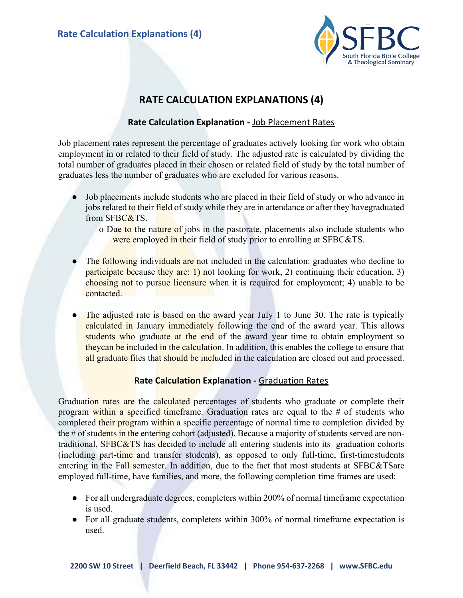

# **RATE CALCULATION EXPLANATIONS (4)**

# **Rate Calculation Explanation -** Job Placement Rates

Job placement rates represent the percentage of graduates actively looking for work who obtain employment in or related to their field of study. The adjusted rate is calculated by dividing the total number of graduates placed in their chosen or related field of study by the total number of graduates less the number of graduates who are excluded for various reasons.

- Job placements include students who are placed in their field of study or who advance in jobs related to their field of study while they are in attendance or after they havegraduated from SFBC&TS.
	- o Due to the nature of jobs in the pastorate, placements also include students who were employed in their field of study prior to enrolling at SFBC&TS.
- The following individuals are not included in the calculation: graduates who decline to participate because they are: 1) not looking for work, 2) continuing their education, 3) choosing not to pursue licensure when it is required for employment; 4) unable to be contacted.
- The adjusted rate is based on the award year July 1 to June 30. The rate is typically calculated in January immediately following the end of the award year. This allows students who graduate at the end of the award year time to obtain employment so theycan be included in the calculation. In addition, this enables the college to ensure that all graduate files that should be included in the calculation are closed out and processed.

## **Rate Calculation Explanation -** Graduation Rates

Graduation rates are the calculated percentages of students who graduate or complete their program within a specified timeframe. Graduation rates are equal to the  $\#$  of students who completed their program within a specific percentage of normal time to completion divided by the # of students in the entering cohort (adjusted). Because a majority of students served are nontraditional, SFBC&TS has decided to include all entering students into its graduation cohorts (including part-time and transfer students), as opposed to only full-time, first-time students entering in the Fall semester. In addition, due to the fact that most students at SFBC&TSare employed full-time, have families, and more, the following completion time frames are used:

- For all undergraduate degrees, completers within 200% of normal timeframe expectation is used.
- For all graduate students, completers within 300% of normal timeframe expectation is used.